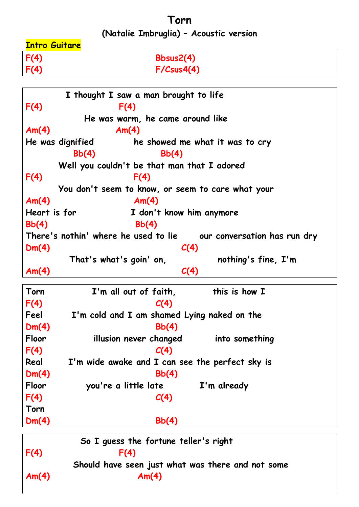**Torn**

**(Natalie Imbruglia) – Acoustic version**

| <b>Intro Guitare</b> |                  |
|----------------------|------------------|
| F(4)                 | Bbsus2(4)        |
| F(4)                 | $F/C$ sus $4(4)$ |
|                      |                  |

| I thought I saw a man brought to life |                                                                      |  |  |  |  |
|---------------------------------------|----------------------------------------------------------------------|--|--|--|--|
| F(4)                                  | F(4)                                                                 |  |  |  |  |
|                                       | He was warm, he came around like                                     |  |  |  |  |
| Am(4)                                 | Am(4)                                                                |  |  |  |  |
|                                       | He was dignified<br>he showed me what it was to cry                  |  |  |  |  |
|                                       | Bb(4)<br>Bb(4)                                                       |  |  |  |  |
|                                       | Well you couldn't be that man that I adored                          |  |  |  |  |
| F(4)                                  | F(4)                                                                 |  |  |  |  |
|                                       | You don't seem to know, or seem to care what your                    |  |  |  |  |
| Am(4)                                 | Am(4)                                                                |  |  |  |  |
| Heart is for                          | I don't know him anymore                                             |  |  |  |  |
| Bb(4)                                 | Bb(4)                                                                |  |  |  |  |
|                                       | There's nothin' where he used to lie<br>our conversation has run dry |  |  |  |  |
| Dm(4)                                 | C(4)                                                                 |  |  |  |  |
|                                       | That's what's goin' on,<br>nothing's fine, I'm                       |  |  |  |  |
| Am(4)                                 | C(4)                                                                 |  |  |  |  |
| Torn                                  | I'm all out of faith,<br>this is how I                               |  |  |  |  |
| F(4)                                  | C(4)                                                                 |  |  |  |  |
| Feel                                  | I'm cold and I am shamed Lying naked on the                          |  |  |  |  |
| Dm(4)                                 | Bb(4)                                                                |  |  |  |  |
| Floor                                 | illusion never changed<br>into something                             |  |  |  |  |
| F(4)                                  | C(4)                                                                 |  |  |  |  |
| Real                                  | I'm wide awake and I can see the perfect sky is                      |  |  |  |  |
| Dm(4)                                 | Bb(4)                                                                |  |  |  |  |
| Floor                                 | you're a little late<br>I'm already                                  |  |  |  |  |
| F(4)                                  | C(4)                                                                 |  |  |  |  |
| Torn                                  |                                                                      |  |  |  |  |
| Dm(4)                                 | Bb(4)                                                                |  |  |  |  |
|                                       |                                                                      |  |  |  |  |

 **So I guess the fortune teller's right** F(4) F(4)  **Should have seen just what was there and not some Am(4) Am(4)**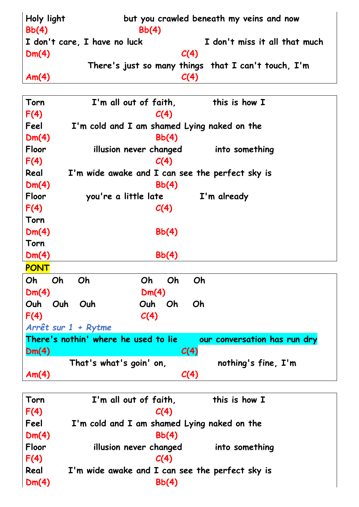| Holy light<br>Bb(4) | but you crawled beneath my veins and now<br>Bb(4) |                                                     |  |  |
|---------------------|---------------------------------------------------|-----------------------------------------------------|--|--|
|                     | I don't care, I have no luck                      | I don't miss it all that much                       |  |  |
| Dm(4)               |                                                   | C(4)                                                |  |  |
|                     |                                                   | There's just so many things that I can't touch, I'm |  |  |
| Am(4)               |                                                   | C(4)                                                |  |  |
|                     |                                                   |                                                     |  |  |
| Torn                | I'm all out of faith,                             | this is how I                                       |  |  |
| F(4)                | C(4)                                              |                                                     |  |  |

| Feel        | I'm cold and I am shamed Lying naked on the     |                                      |                              |  |
|-------------|-------------------------------------------------|--------------------------------------|------------------------------|--|
| Dm(4)       |                                                 | Bb(4)                                |                              |  |
| Floor       |                                                 | illusion never changed               | into something               |  |
| F(4)        |                                                 | C(4)                                 |                              |  |
| Real        | I'm wide awake and I can see the perfect sky is |                                      |                              |  |
| Dm(4)       |                                                 | Bb(4)                                |                              |  |
| Floor       |                                                 | you're a little late                 | I'm already                  |  |
| F(4)        |                                                 | C(4)                                 |                              |  |
| Torn        |                                                 |                                      |                              |  |
| Dm(4)       |                                                 | Bb(4)                                |                              |  |
| Torn        |                                                 |                                      |                              |  |
| Dm(4)       |                                                 | Bb(4)                                |                              |  |
| <b>PONT</b> |                                                 |                                      |                              |  |
| Oh          | Oh<br>Oh                                        | Oh<br>Oh                             | Oh                           |  |
| Dm(4)       |                                                 | Dm(4)                                |                              |  |
| Ouh         | Ouh<br>Ouh                                      | Ouh<br>Oh                            | Oh                           |  |
| F(4)        |                                                 | C(4)                                 |                              |  |
|             | Arrêt sur 1 + Rytme                             |                                      |                              |  |
|             |                                                 | There's nothin' where he used to lie | our conversation has run dry |  |
| Dm(4)       |                                                 |                                      | C(4)                         |  |
|             |                                                 | That's what's goin' on,              | nothing's fine, I'm          |  |
| Am(4)       |                                                 |                                      | C(4)                         |  |

| Torn  | I'm all out of faith,                           | this is how I  |  |  |
|-------|-------------------------------------------------|----------------|--|--|
| F(4)  | C(4)                                            |                |  |  |
| Feel  | I'm cold and I am shamed Lying naked on the     |                |  |  |
| Dm(4) | Bb(4)                                           |                |  |  |
| Floor | illusion never changed                          | into something |  |  |
| F(4)  | C(4)                                            |                |  |  |
| Real  | I'm wide awake and I can see the perfect sky is |                |  |  |
| Dm(4) | Bb(4)                                           |                |  |  |